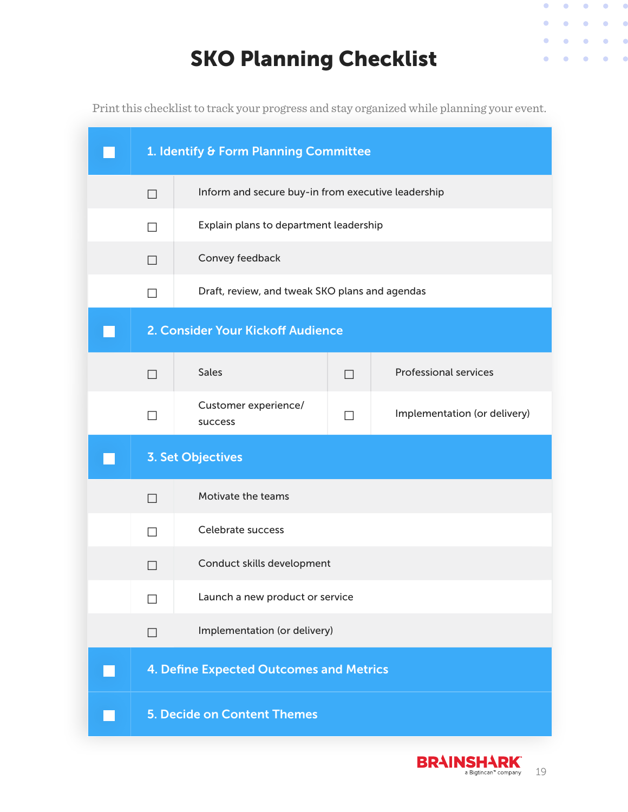## SKO Planning Checklist

Print this checklist to track your progress and stay organized while planning your event.

| 1. Identify & Form Planning Committee |                                                    |                |                              |  |  |
|---------------------------------------|----------------------------------------------------|----------------|------------------------------|--|--|
| $\Box$                                | Inform and secure buy-in from executive leadership |                |                              |  |  |
| $\mathsf{L}$                          | Explain plans to department leadership             |                |                              |  |  |
| $\Box$                                | Convey feedback                                    |                |                              |  |  |
|                                       | Draft, review, and tweak SKO plans and agendas     |                |                              |  |  |
| 2. Consider Your Kickoff Audience     |                                                    |                |                              |  |  |
| $\Box$                                | <b>Sales</b>                                       | $\Box$         | <b>Professional services</b> |  |  |
|                                       | Customer experience/<br>success                    | $\blacksquare$ | Implementation (or delivery) |  |  |
| <b>3. Set Objectives</b>              |                                                    |                |                              |  |  |
| П                                     | Motivate the teams                                 |                |                              |  |  |
| $\blacksquare$                        | Celebrate success                                  |                |                              |  |  |
|                                       | Conduct skills development                         |                |                              |  |  |
|                                       | Launch a new product or service                    |                |                              |  |  |
| $\perp$                               | Implementation (or delivery)                       |                |                              |  |  |
|                                       | 4. Define Expected Outcomes and Metrics            |                |                              |  |  |
| <b>5. Decide on Content Themes</b>    |                                                    |                |                              |  |  |



 $\begin{array}{cccccccccccccc} 0 & 0 & 0 & 0 & 0 & 0 & 0 \end{array}$ 

 $\begin{array}{cccccccccccccc} \bullet & \bullet & \bullet & \bullet & \bullet & \bullet & \bullet \end{array}$ 

 $\bullet \qquad \bullet$ 

 $\bullet \qquad \bullet \qquad \bullet$ 

 $\bullet \quad \bullet \quad \bullet$ 

 $\sim$  0  $\,$ 

¢